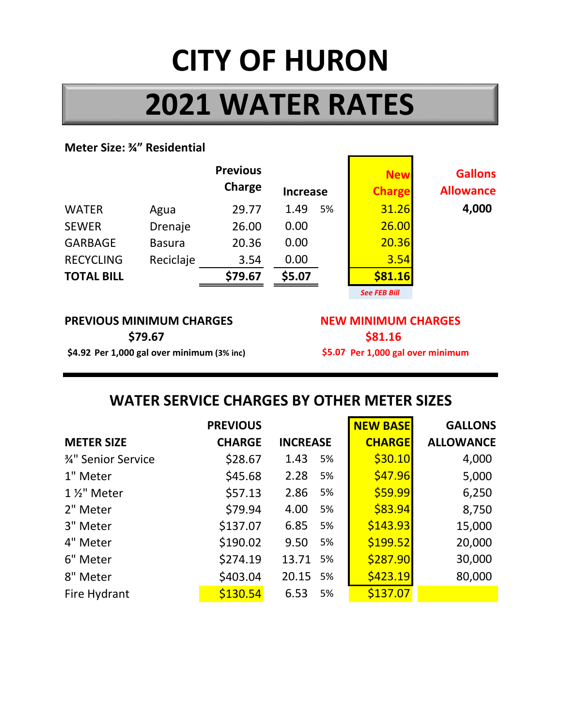# **CITY OF HURON**

## **2021 WATER RATES**

#### **Meter Size: ¾" Residential**

|                   |               | <b>Previous</b><br>Charge | <b>Increase</b> | <b>New</b><br><b>Charge</b> | <b>Gallons</b><br><b>Allowance</b> |
|-------------------|---------------|---------------------------|-----------------|-----------------------------|------------------------------------|
| <b>WATER</b>      | Agua          | 29.77                     | 1.49<br>5%      | 31.26                       | 4,000                              |
| <b>SEWER</b>      | Drenaje       | 26.00                     | 0.00            | 26.00                       |                                    |
| <b>GARBAGE</b>    | <b>Basura</b> | 20.36                     | 0.00            | 20.36                       |                                    |
| <b>RECYCLING</b>  | Reciclaje     | 3.54                      | 0.00            | 3.54                        |                                    |
| <b>TOTAL BILL</b> |               | \$79.67                   | \$5.07          | \$81.16                     |                                    |

*See FEB Bill*

#### **PREVIOUS MINIMUM CHARGES NEW MINIMUM CHARGES \$4.92 Per 1,000 gal over minimum (3% inc) Per 1,000 gal over minimum \$79.67**

**\$81.16** \$5.07 Per 1,000 gal over minimum

## **WATER SERVICE CHARGES BY OTHER METER SIZES**

|                     | <b>PREVIOUS</b> |                 | <b>NEW BASE</b> | <b>GALLONS</b>   |
|---------------------|-----------------|-----------------|-----------------|------------------|
| <b>METER SIZE</b>   | <b>CHARGE</b>   | <b>INCREASE</b> | <b>CHARGE</b>   | <b>ALLOWANCE</b> |
| 3⁄4" Senior Service | \$28.67         | 1.43<br>5%      | \$30.10         | 4,000            |
| 1" Meter            | \$45.68         | 2.28<br>5%      | \$47.96         | 5,000            |
| 1 1/2" Meter        | \$57.13         | 2.86<br>5%      | \$59.99         | 6,250            |
| 2" Meter            | \$79.94         | 4.00<br>5%      | \$83.94         | 8,750            |
| 3" Meter            | \$137.07        | 6.85<br>5%      | \$143.93        | 15,000           |
| 4" Meter            | \$190.02        | 9.50<br>5%      | \$199.52        | 20,000           |
| 6" Meter            | \$274.19        | 13.71<br>5%     | \$287.90        | 30,000           |
| 8" Meter            | \$403.04        | 20.15 5%        | \$423.19        | 80,000           |
| Fire Hydrant        | \$130.54        | 6.53<br>5%      | \$137.07        |                  |